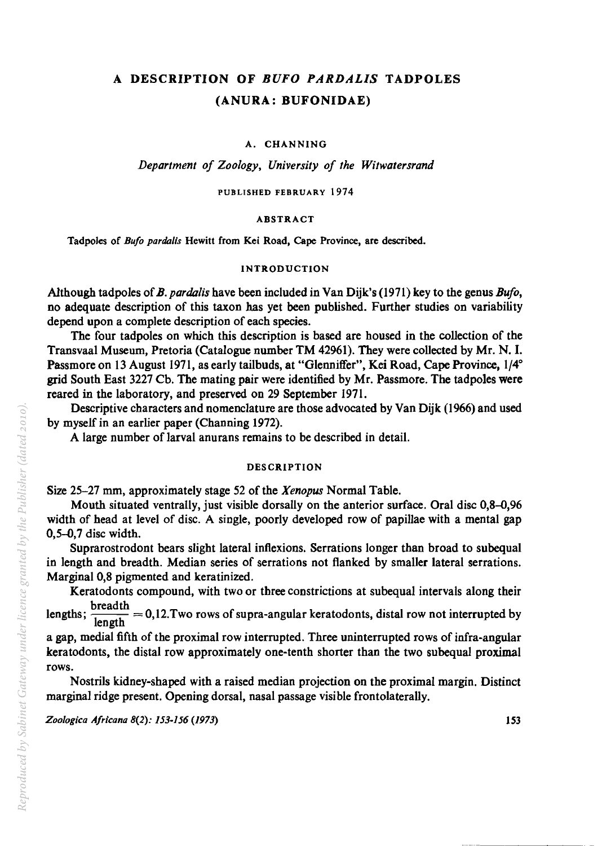# A DESCRIPTION OF *BUFO PARDALIS* TADPOLES (ANURA: BUFONIDAE)

A. CHANNING

*Department of Zoology, University of the Witwatersrand* 

PUBLISHED FEBRUARY 1974

#### ABSTRACT

Tadpoles of *Bufo parda/is* Hewitt from Kei Road, Cape Province, are described.

### INTRODUCTION

Although tadpoles of *B. pardalis* have been included in Van Dijk's (1971) key to the genus *Bufa,*  no adequate description of this taxon has yet been published. Further studies on variability depend upon a complete description of each species.

The four tadpoles on which this description is based are housed in the collection of the Transvaal Museum, Pretoria (Catalogue number TM 42961). They were collected by Mr. N. I. Passmore on 13 August 1971, as early tailbuds, at "Glenniffer", Kei Road, Cape Province, 1/4° grid South East 3227 Cb. The mating pair were identified by Mr. Passmore. The tadpoles were reared in the laboratory, and preserved on 29 September 1971.

Descriptive characters and nomenclature are those advocated by Van Dijk (1966) and used by myself in an earlier paper (Channing 1972).

A large number of larval anurans remains to be described in detail.

## DESCRIPTION

Size 25-27 mm, approximately stage 52 of the *Xenopus* Normal Table.

Mouth situated ventrally, just visible dorsally on the anterior surface. Oral disc 0,8-0,96 width of head at level of disc. A single, poorly developed row of papillae with a mental gap 0,5-0,7 disc width.

Suprarostrodont bears slight lateral inflexions. Serrations longer than broad to subequal in length and breadth. Median series of serrations not flanked by smaller lateral serrations. Marginal 0,8 pigmented and keratinized.

Keratodonts compound, with two or three constrictions at subequal intervals along their

lengths;  $\frac{\text{breadth}}{\text{length}} = 0,12$ . Two rows of supra-angular keratodonts, distal row not interrupted by

a gap, medial fifth of the proximal row interrupted. Three uninterrupted rows of infra-angular keratodonts, the distal row approximately one-tenth shorter than the two subequal proximal rows.

Nostrils kidney-shaped with a raised median projection on the proximal margin. Distinct marginal ridge present. Opening dorsal, nasal passage visible frontolaterally.

*Zo%gica Africana* 8(2): *153-1J6 (1973)* 153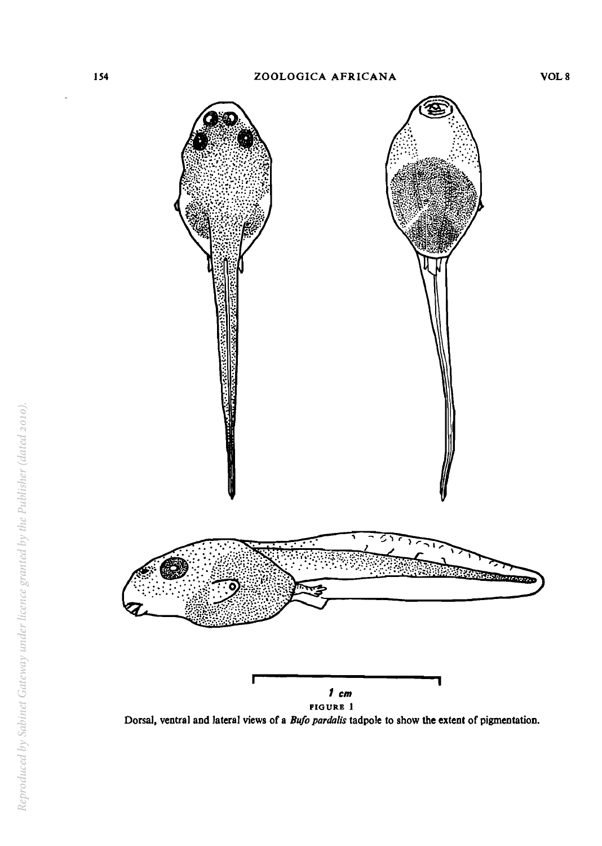

FIGURE 1

Dorsal, ventral and lateral views of a *Bufo pardalis* tadpole to show the extent of pigmentation.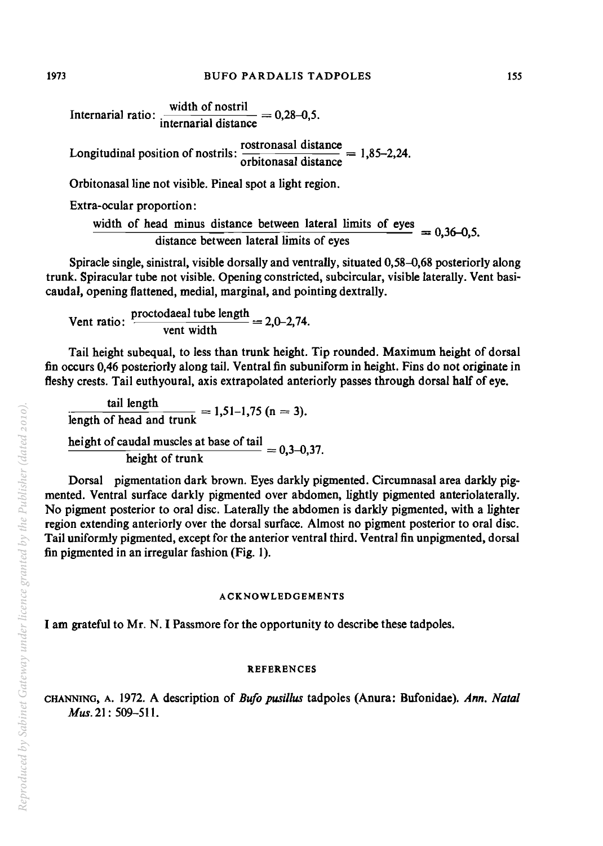Internarial ratio:  $\frac{\text{width of nostril}}{\text{internal distance}} = 0.28-0.5.$ 

Longitudinal position of nostrils:  $\frac{\text{rostronsal distance}}{\text{orbitonasal distance}} = 1,85-2,24.$ 

Orbitonasalline not visible. Pineal spot a light region.

Extra-ocular proportion:

width of head minus distance between lateral limits of eyes  $= 0,36-0,5.$  distance between lateral limits of eyes

Spiracle single, sinistral, visible dorsally and ventrally, situated 0,58-0,68 posteriorly along trunk. Spiracular tube not visible. Opening constricted, subcircular, visible laterally. Vent basicaudal, opening flattened, medial, marginal, and pointing dextrally.

Vent ratio:  $\frac{\text{proctodaeal tube length}}{2.0-2.74}$ I, opening flattened, medial, marginal, and pointi<br>ent ratio:  $\frac{\text{proctodaal tube length}}{\text{vent width}} = 2.0 - 2.74.$ 

Tail height subequal, to less than trunk height. Tip rounded. Maximum height of dorsal fin occurs 0,46 posteriorly along tail. Ventral fin subuniform in height. Fins do not originate in fleshy crests. Tail euthyoural, axis extrapolated anteriorly passes through dorsal half of eye.

 $\tan \theta$  length  $= 1,51-1,75$  (n = 3). length of head and trunk height of caudal muscles at base of tail  $= 0, 3-0, 37$ .<br>height of trunk

Dorsal pigmentation dark brown. Eyes darkly pigmented. Circumnasal area darkly pigmented. Ventral surface darkly pigmented over abdomen, lightly pigmented anteriolaterally. No pigment posterior to oral disc. Laterally the abdomen is darkly pigmented, with a lighter region extending anteriorly over the dorsal surface. Almost no pigment posterior to oral disc. Tail uniformly pigmented, except for the anterior ventral third. Ventral fin unpigmented, dorsal fin pigmented in an irregular fashion (Fig. 1).

# ACKNOWLEDGEMENTS

I am grateful to Mr. N. I Passmore for the opportunity to describe these tadpoles.

# **REFERENCES**

CHANNING, A. 1972. A description of *Bufo pusillus* tadpoles (Anura: Bufonidae). *Ann. Natal Mus.* 21: 509-511.